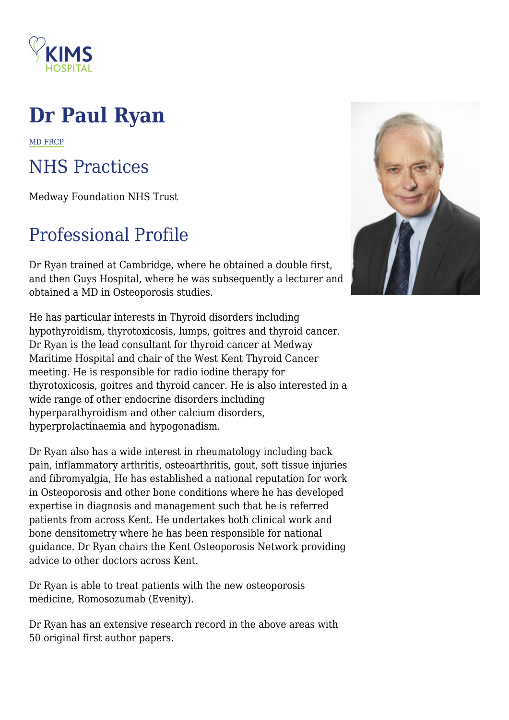

## **Dr Paul Ryan**

MD FRCP

## NHS Practices

Medway Foundation NHS Trust

## Professional Profile

Dr Ryan trained at Cambridge, where he obtained a double first, and then Guys Hospital, where he was subsequently a lecturer and obtained a MD in Osteoporosis studies.

He has particular interests in Thyroid disorders including hypothyroidism, thyrotoxicosis, lumps, goitres and thyroid cancer. Dr Ryan is the lead consultant for thyroid cancer at Medway Maritime Hospital and chair of the West Kent Thyroid Cancer meeting. He is responsible for radio iodine therapy for thyrotoxicosis, goitres and thyroid cancer. He is also interested in a wide range of other endocrine disorders including hyperparathyroidism and other calcium disorders, hyperprolactinaemia and hypogonadism.

Dr Ryan also has a wide interest in rheumatology including back pain, inflammatory arthritis, osteoarthritis, gout, soft tissue injuries and fibromyalgia, He has established a national reputation for work in Osteoporosis and other bone conditions where he has developed expertise in diagnosis and management such that he is referred patients from across Kent. He undertakes both clinical work and bone densitometry where he has been responsible for national guidance. Dr Ryan chairs the Kent Osteoporosis Network providing advice to other doctors across Kent.

Dr Ryan is able to treat patients with the new osteoporosis medicine, Romosozumab (Evenity).

Dr Ryan has an extensive research record in the above areas with 50 original first author papers.